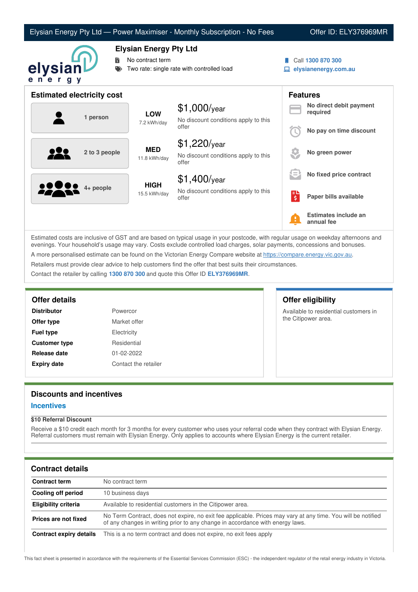|                                   |                                                                                                 | Elysian Energy Pty Ltd - Power Maximiser - Monthly Subscription - No Fees |   | Offer ID: ELY376969MR                     |
|-----------------------------------|-------------------------------------------------------------------------------------------------|---------------------------------------------------------------------------|---|-------------------------------------------|
| 鬜<br>elysianL<br>ener<br>g y      | <b>Elysian Energy Pty Ltd</b><br>No contract term<br>Two rate: single rate with controlled load |                                                                           |   | Call 1300 870 300<br>elysianenergy.com.au |
| <b>Estimated electricity cost</b> |                                                                                                 |                                                                           |   | <b>Features</b>                           |
| 1 person                          | <b>LOW</b><br>7.2 kWh/day                                                                       | $$1,000$ /year<br>No discount conditions apply to this                    |   | No direct debit payment<br>required       |
|                                   |                                                                                                 | offer                                                                     |   | No pay on time discount                   |
| 2 to 3 people                     | <b>MED</b><br>11.8 kWh/day                                                                      | $$1,220$ /year<br>No discount conditions apply to this<br>offer           |   | No green power                            |
|                                   | <b>HIGH</b><br>15.5 kWh/day                                                                     | $$1,400$ /year                                                            |   | No fixed price contract                   |
| $4+$ people                       |                                                                                                 | No discount conditions apply to this<br>offer                             | 립 | Paper bills available                     |
|                                   |                                                                                                 |                                                                           |   | Estimates include an<br>annual fee        |

Estimated costs are inclusive of GST and are based on typical usage in your postcode, with regular usage on weekday afternoons and evenings. Your household's usage may vary. Costs exclude controlled load charges, solar payments, concessions and bonuses. A more personalised estimate can be found on the Victorian Energy Compare website at <https://compare.energy.vic.gov.au>. Retailers must provide clear advice to help customers find the offer that best suits their circumstances.

Contact the retailer by calling **1300 870 300** and quote this Offer ID **ELY376969MR**.

# **Offer details Offer eligibility**

| <b>Distributor</b>   | Powercor             |
|----------------------|----------------------|
| Offer type           | Market offer         |
| <b>Fuel type</b>     | Electricity          |
| <b>Customer type</b> | Residential          |
| Release date         | 01-02-2022           |
| <b>Expiry date</b>   | Contact the retailer |

Available to residential customers in the Citipower area.

# **Discounts and incentives**

### **Incentives**

### **\$10 Referral Discount**

Receive a \$10 credit each month for 3 months for every customer who uses your referral code when they contract with Elysian Energy. Referral customers must remain with Elysian Energy. Only applies to accounts where Elysian Energy is the current retailer.

## **Contract details**

| <b>Contract term</b>    | No contract term                                                                                                                                                                              |
|-------------------------|-----------------------------------------------------------------------------------------------------------------------------------------------------------------------------------------------|
| Cooling off period      | 10 business days                                                                                                                                                                              |
| Eligibility criteria    | Available to residential customers in the Citipower area.                                                                                                                                     |
| Prices are not fixed    | No Term Contract, does not expire, no exit fee applicable. Prices may vary at any time. You will be notified<br>of any changes in writing prior to any change in accordance with energy laws. |
| Contract expiry details | This is a no term contract and does not expire, no exit fees apply                                                                                                                            |

This fact sheet is presented in accordance with the requirements of the Essential Services Commission (ESC) - the independent regulator of the retail energy industry in Victoria.